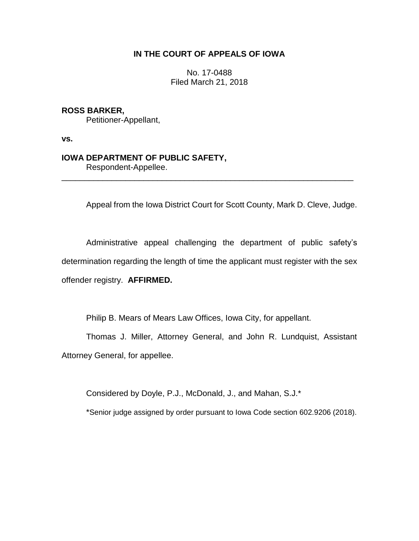## **IN THE COURT OF APPEALS OF IOWA**

No. 17-0488 Filed March 21, 2018

**ROSS BARKER,** Petitioner-Appellant,

**vs.**

## **IOWA DEPARTMENT OF PUBLIC SAFETY,**

Respondent-Appellee.

Appeal from the Iowa District Court for Scott County, Mark D. Cleve, Judge.

Administrative appeal challenging the department of public safety's determination regarding the length of time the applicant must register with the sex offender registry. **AFFIRMED.**

\_\_\_\_\_\_\_\_\_\_\_\_\_\_\_\_\_\_\_\_\_\_\_\_\_\_\_\_\_\_\_\_\_\_\_\_\_\_\_\_\_\_\_\_\_\_\_\_\_\_\_\_\_\_\_\_\_\_\_\_\_\_\_\_

Philip B. Mears of Mears Law Offices, Iowa City, for appellant.

Thomas J. Miller, Attorney General, and John R. Lundquist, Assistant Attorney General, for appellee.

Considered by Doyle, P.J., McDonald, J., and Mahan, S.J.\*

\*Senior judge assigned by order pursuant to Iowa Code section 602.9206 (2018).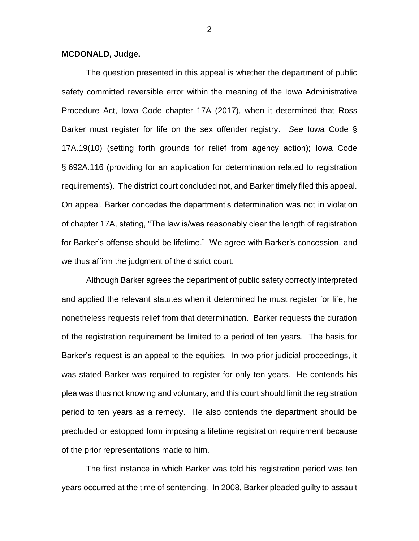## **MCDONALD, Judge.**

The question presented in this appeal is whether the department of public safety committed reversible error within the meaning of the Iowa Administrative Procedure Act, Iowa Code chapter 17A (2017), when it determined that Ross Barker must register for life on the sex offender registry. *See* Iowa Code § 17A.19(10) (setting forth grounds for relief from agency action); Iowa Code § 692A.116 (providing for an application for determination related to registration requirements). The district court concluded not, and Barker timely filed this appeal. On appeal, Barker concedes the department's determination was not in violation of chapter 17A, stating, "The law is/was reasonably clear the length of registration for Barker's offense should be lifetime." We agree with Barker's concession, and we thus affirm the judgment of the district court.

Although Barker agrees the department of public safety correctly interpreted and applied the relevant statutes when it determined he must register for life, he nonetheless requests relief from that determination. Barker requests the duration of the registration requirement be limited to a period of ten years. The basis for Barker's request is an appeal to the equities. In two prior judicial proceedings, it was stated Barker was required to register for only ten years. He contends his plea was thus not knowing and voluntary, and this court should limit the registration period to ten years as a remedy. He also contends the department should be precluded or estopped form imposing a lifetime registration requirement because of the prior representations made to him.

The first instance in which Barker was told his registration period was ten years occurred at the time of sentencing. In 2008, Barker pleaded guilty to assault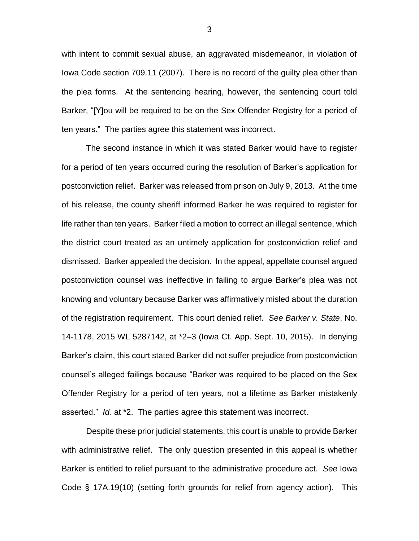with intent to commit sexual abuse, an aggravated misdemeanor, in violation of Iowa Code section 709.11 (2007). There is no record of the guilty plea other than the plea forms. At the sentencing hearing, however, the sentencing court told Barker, "[Y]ou will be required to be on the Sex Offender Registry for a period of ten years." The parties agree this statement was incorrect.

The second instance in which it was stated Barker would have to register for a period of ten years occurred during the resolution of Barker's application for postconviction relief. Barker was released from prison on July 9, 2013. At the time of his release, the county sheriff informed Barker he was required to register for life rather than ten years. Barker filed a motion to correct an illegal sentence, which the district court treated as an untimely application for postconviction relief and dismissed. Barker appealed the decision. In the appeal, appellate counsel argued postconviction counsel was ineffective in failing to argue Barker's plea was not knowing and voluntary because Barker was affirmatively misled about the duration of the registration requirement. This court denied relief. *See Barker v. State*, No. 14-1178, 2015 WL 5287142, at \*2–3 (Iowa Ct. App. Sept. 10, 2015). In denying Barker's claim, this court stated Barker did not suffer prejudice from postconviction counsel's alleged failings because "Barker was required to be placed on the Sex Offender Registry for a period of ten years, not a lifetime as Barker mistakenly asserted." *Id.* at \*2. The parties agree this statement was incorrect.

Despite these prior judicial statements, this court is unable to provide Barker with administrative relief. The only question presented in this appeal is whether Barker is entitled to relief pursuant to the administrative procedure act. *See* Iowa Code § 17A.19(10) (setting forth grounds for relief from agency action). This

3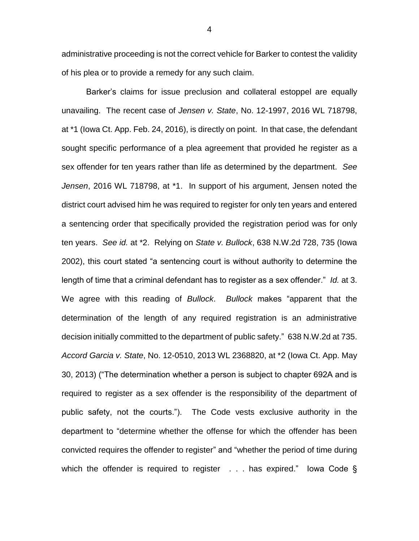administrative proceeding is not the correct vehicle for Barker to contest the validity of his plea or to provide a remedy for any such claim.

Barker's claims for issue preclusion and collateral estoppel are equally unavailing. The recent case of *Jensen v. State*, No. 12-1997, 2016 WL 718798, at \*1 (Iowa Ct. App. Feb. 24, 2016), is directly on point. In that case, the defendant sought specific performance of a plea agreement that provided he register as a sex offender for ten years rather than life as determined by the department. *See Jensen*, 2016 WL 718798, at \*1. In support of his argument, Jensen noted the district court advised him he was required to register for only ten years and entered a sentencing order that specifically provided the registration period was for only ten years. *See id.* at \*2. Relying on *State v. Bullock*, 638 N.W.2d 728, 735 (Iowa 2002), this court stated "a sentencing court is without authority to determine the length of time that a criminal defendant has to register as a sex offender." *Id.* at 3. We agree with this reading of *Bullock*. *Bullock* makes "apparent that the determination of the length of any required registration is an administrative decision initially committed to the department of public safety." 638 N.W.2d at 735. *Accord Garcia v. State*, No. 12-0510, 2013 WL 2368820, at \*2 (Iowa Ct. App. May 30, 2013) ("The determination whether a person is subject to chapter 692A and is required to register as a sex offender is the responsibility of the department of public safety, not the courts."). The Code vests exclusive authority in the department to "determine whether the offense for which the offender has been convicted requires the offender to register" and "whether the period of time during which the offender is required to register . . . has expired." Iowa Code §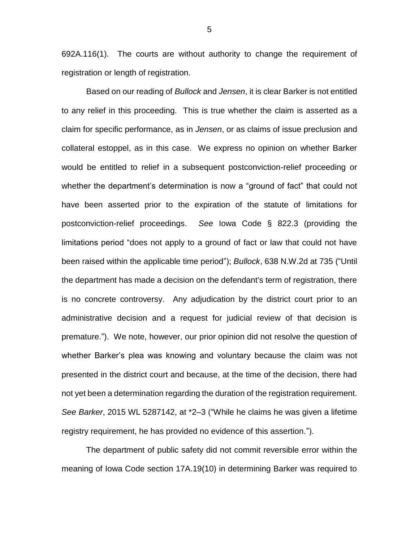692A.116(1). The courts are without authority to change the requirement of registration or length of registration.

Based on our reading of *Bullock* and *Jensen*, it is clear Barker is not entitled to any relief in this proceeding. This is true whether the claim is asserted as a claim for specific performance, as in *Jensen*, or as claims of issue preclusion and collateral estoppel, as in this case. We express no opinion on whether Barker would be entitled to relief in a subsequent postconviction-relief proceeding or whether the department's determination is now a "ground of fact" that could not have been asserted prior to the expiration of the statute of limitations for postconviction-relief proceedings. *See* Iowa Code § 822.3 (providing the limitations period "does not apply to a ground of fact or law that could not have been raised within the applicable time period"); *Bullock*, 638 N.W.2d at 735 ("Until the department has made a decision on the defendant's term of registration, there is no concrete controversy. Any adjudication by the district court prior to an administrative decision and a request for judicial review of that decision is premature."). We note, however, our prior opinion did not resolve the question of whether Barker's plea was knowing and voluntary because the claim was not presented in the district court and because, at the time of the decision, there had not yet been a determination regarding the duration of the registration requirement. *See Barker*, 2015 WL 5287142, at \*2–3 ("While he claims he was given a lifetime registry requirement, he has provided no evidence of this assertion.").

The department of public safety did not commit reversible error within the meaning of Iowa Code section 17A.19(10) in determining Barker was required to

5